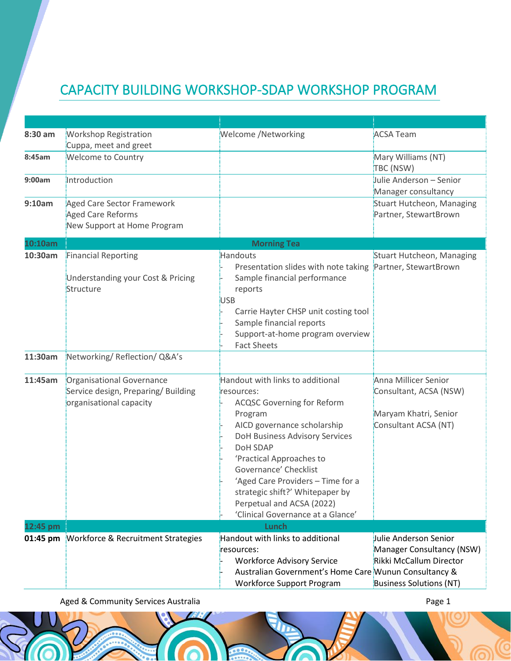## CAPACITY BUILDING WORKSHOP-SDAP WORKSHOP PROGRAM

| 8:30 am  | <b>Workshop Registration</b>                                                               | Welcome /Networking                                                                                                                                                                                                                                                                                                                                                                | <b>ACSA Team</b>                                                                                         |
|----------|--------------------------------------------------------------------------------------------|------------------------------------------------------------------------------------------------------------------------------------------------------------------------------------------------------------------------------------------------------------------------------------------------------------------------------------------------------------------------------------|----------------------------------------------------------------------------------------------------------|
|          | Cuppa, meet and greet                                                                      |                                                                                                                                                                                                                                                                                                                                                                                    |                                                                                                          |
| 8:45am   | <b>Welcome to Country</b>                                                                  |                                                                                                                                                                                                                                                                                                                                                                                    | Mary Williams (NT)<br>TBC (NSW)                                                                          |
| 9:00am   | Introduction                                                                               |                                                                                                                                                                                                                                                                                                                                                                                    | Julie Anderson - Senior<br>Manager consultancy                                                           |
| 9:10am   | Aged Care Sector Framework                                                                 |                                                                                                                                                                                                                                                                                                                                                                                    | Stuart Hutcheon, Managing                                                                                |
|          | Aged Care Reforms                                                                          |                                                                                                                                                                                                                                                                                                                                                                                    | Partner, StewartBrown                                                                                    |
|          | New Support at Home Program                                                                |                                                                                                                                                                                                                                                                                                                                                                                    |                                                                                                          |
| 10:10am  |                                                                                            | <b>Morning Tea</b>                                                                                                                                                                                                                                                                                                                                                                 |                                                                                                          |
| 10:30am  | <b>Financial Reporting</b><br>Understanding your Cost & Pricing<br>Structure               | Handouts<br>Presentation slides with note taking Partner, StewartBrown<br>Sample financial performance<br>reports<br><b>USB</b>                                                                                                                                                                                                                                                    | Stuart Hutcheon, Managing                                                                                |
|          |                                                                                            | Carrie Hayter CHSP unit costing tool<br>Sample financial reports<br>Support-at-home program overview<br><b>Fact Sheets</b>                                                                                                                                                                                                                                                         |                                                                                                          |
| 11:30am  | Networking/Reflection/Q&A's                                                                |                                                                                                                                                                                                                                                                                                                                                                                    |                                                                                                          |
| 11:45am  | Organisational Governance<br>Service design, Preparing/Building<br>organisational capacity | Handout with links to additional<br>iresources:<br><b>ACQSC Governing for Reform</b><br>Program<br>AICD governance scholarship<br>DoH Business Advisory Services<br><b>DoH SDAP</b><br>'Practical Approaches to<br>Governance' Checklist<br>'Aged Care Providers - Time for a<br>strategic shift?' Whitepaper by<br>Perpetual and ACSA (2022)<br>'Clinical Governance at a Glance' | Anna Millicer Senior<br>Consultant, ACSA (NSW)<br>Maryam Khatri, Senior<br>Consultant ACSA (NT)          |
| 12:45 pm |                                                                                            | <b>Lunch</b>                                                                                                                                                                                                                                                                                                                                                                       |                                                                                                          |
| 01:45 pm | Workforce & Recruitment Strategies                                                         | Handout with links to additional<br>resources:<br><b>Workforce Advisory Service</b><br>Australian Government's Home Care Wunun Consultancy &<br><b>Workforce Support Program</b>                                                                                                                                                                                                   | Julie Anderson Senior<br>Manager Consultancy (NSW)<br>Rikki McCallum Director<br>Business Solutions (NT) |

Aged & Community Services Australia **Page 1** Aged & Community Services Australia